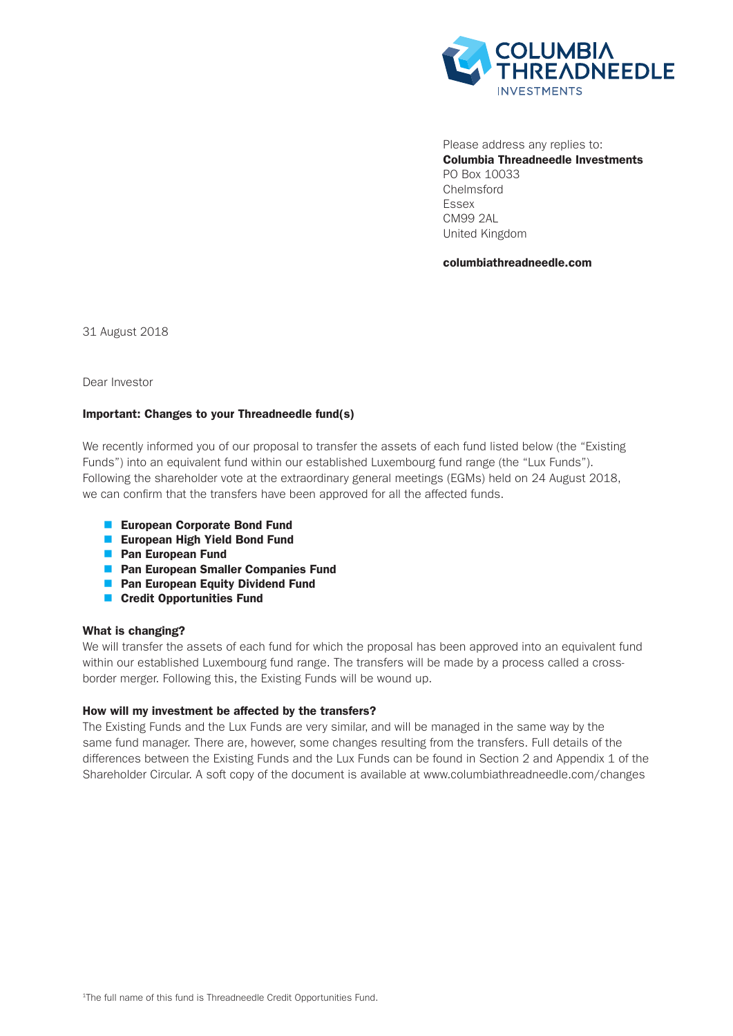

Please address any replies to: Columbia Threadneedle Investments PO Box 10033 Chelmsford Essex CM99 2AL United Kingdom

columbiathreadneedle.com

31 August 2018

Dear Investor

# Important: Changes to your Threadneedle fund(s)

We recently informed you of our proposal to transfer the assets of each fund listed below (the "Existing Funds") into an equivalent fund within our established Luxembourg fund range (the "Lux Funds"). Following the shareholder vote at the extraordinary general meetings (EGMs) held on 24 August 2018, we can confirm that the transfers have been approved for all the affected funds.

- European Corporate Bond Fund
- **European High Yield Bond Fund**
- **n** Pan European Fund
- **n** Pan European Smaller Companies Fund
- **n** Pan European Equity Dividend Fund
- Credit Opportunities Fund

## What is changing?

We will transfer the assets of each fund for which the proposal has been approved into an equivalent fund within our established Luxembourg fund range. The transfers will be made by a process called a crossborder merger. Following this, the Existing Funds will be wound up.

## How will my investment be affected by the transfers?

The Existing Funds and the Lux Funds are very similar, and will be managed in the same way by the same fund manager. There are, however, some changes resulting from the transfers. Full details of the differences between the Existing Funds and the Lux Funds can be found in Section 2 and Appendix 1 of the Shareholder Circular. A soft copy of the document is available at www.columbiathreadneedle.com/changes